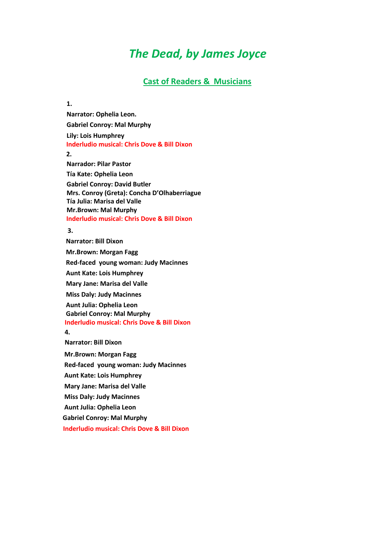## *The Dead, by James Joyce*

## **Cast of Readers & Musicians**

## **1.**

**Narrator: Ophelia Leon. Gabriel Conroy: Mal Murphy Lily: Lois Humphrey Inderludio musical: Chris Dove & Bill Dixon 2. Narrador: Pilar Pastor Tía Kate: Ophelia Leon**

**Gabriel Conroy: David Butler Mrs. Conroy (Greta): Concha D'Olhaberriague Tía Julia: Marisa del Valle Mr.Brown: Mal Murphy Inderludio musical: Chris Dove & Bill Dixon**

## **3.**

 **Narrator: Bill Dixon Mr.Brown: Morgan Fagg Red-faced young woman: Judy Macinnes Aunt Kate: Lois Humphrey Mary Jane: Marisa del Valle Miss Daly: Judy Macinnes Aunt Julia: Ophelia Leon Gabriel Conroy: Mal Murphy Inderludio musical: Chris Dove & Bill Dixon 4. Narrator: Bill Dixon**

**Mr.Brown: Morgan Fagg Red-faced young woman: Judy Macinnes Aunt Kate: Lois Humphrey**

**Mary Jane: Marisa del Valle**

**Miss Daly: Judy Macinnes**

**Aunt Julia: Ophelia Leon**

**Gabriel Conroy: Mal Murphy**

 **Inderludio musical: Chris Dove & Bill Dixon**